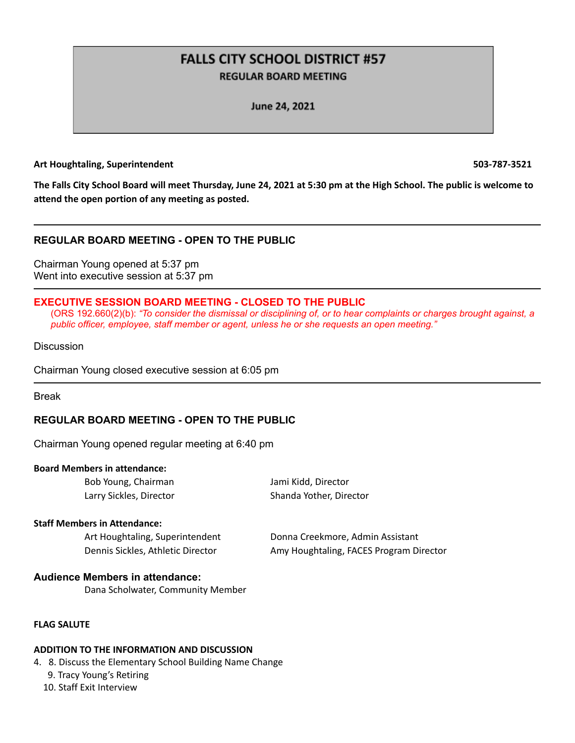# **FALLS CITY SCHOOL DISTRICT #57 REGULAR BOARD MEETING**

June 24, 2021

#### **Art Houghtaling, Superintendent 503-787-3521**

The Falls City School Board will meet Thursday, June 24, 2021 at 5:30 pm at the High School. The public is welcome to **attend the open portion of any meeting as posted.**

### **REGULAR BOARD MEETING - OPEN TO THE PUBLIC**

Chairman Young opened at 5:37 pm Went into executive session at 5:37 pm

### **EXECUTIVE SESSION BOARD MEETING - CLOSED TO THE PUBLIC**

(ORS 192.660(2)(b): "To consider the dismissal or disciplining of, or to hear complaints or charges brought against, a *public officer, employee, staff member or agent, unless he or she requests an open meeting."*

**Discussion** 

Chairman Young closed executive session at 6:05 pm

Break

### **REGULAR BOARD MEETING - OPEN TO THE PUBLIC**

Chairman Young opened regular meeting at 6:40 pm

#### **Board Members in attendance:**

Bob Young, Chairman Jami Kidd, Director Larry Sickles, Director Shanda Yother, Director

#### **Staff Members in Attendance:**

Art Houghtaling, Superintendent Donna Creekmore, Admin Assistant Dennis Sickles, Athletic Director Amy Houghtaling, FACES Program Director

#### **Audience Members in attendance:**

Dana Scholwater, Community Member

#### **FLAG SALUTE**

#### **ADDITION TO THE INFORMATION AND DISCUSSION**

- 4. 8. Discuss the Elementary School Building Name Change
	- 9. Tracy Young's Retiring
	- 10. Staff Exit Interview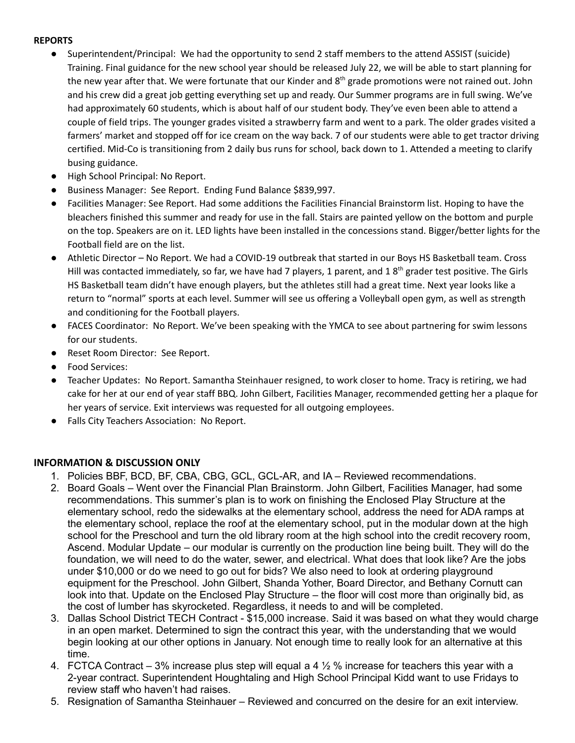### **REPORTS**

- **●** Superintendent/Principal: We had the opportunity to send 2 staff members to the attend ASSIST (suicide) Training. Final guidance for the new school year should be released July 22, we will be able to start planning for the new year after that. We were fortunate that our Kinder and 8<sup>th</sup> grade promotions were not rained out. John and his crew did a great job getting everything set up and ready. Our Summer programs are in full swing. We've had approximately 60 students, which is about half of our student body. They've even been able to attend a couple of field trips. The younger grades visited a strawberry farm and went to a park. The older grades visited a farmers' market and stopped off for ice cream on the way back. 7 of our students were able to get tractor driving certified. Mid-Co is transitioning from 2 daily bus runs for school, back down to 1. Attended a meeting to clarify busing guidance.
- **High School Principal: No Report.**
- Business Manager: See Report. Ending Fund Balance \$839,997.
- **●** Facilities Manager: See Report. Had some additions the Facilities Financial Brainstorm list. Hoping to have the bleachers finished this summer and ready for use in the fall. Stairs are painted yellow on the bottom and purple on the top. Speakers are on it. LED lights have been installed in the concessions stand. Bigger/better lights for the Football field are on the list.
- **●** Athletic Director No Report. We had a COVID-19 outbreak that started in our Boys HS Basketball team. Cross Hill was contacted immediately, so far, we have had 7 players, 1 parent, and 1  $8<sup>th</sup>$  grader test positive. The Girls HS Basketball team didn't have enough players, but the athletes still had a great time. Next year looks like a return to "normal" sports at each level. Summer will see us offering a Volleyball open gym, as well as strength and conditioning for the Football players.
- **●** FACES Coordinator: No Report. We've been speaking with the YMCA to see about partnering for swim lessons for our students.
- **Reset Room Director: See Report.**
- **●** Food Services:
- Teacher Updates: No Report. Samantha Steinhauer resigned, to work closer to home. Tracy is retiring, we had cake for her at our end of year staff BBQ. John Gilbert, Facilities Manager, recommended getting her a plaque for her years of service. Exit interviews was requested for all outgoing employees.
- **●** Falls City Teachers Association: No Report.

### **INFORMATION & DISCUSSION ONLY**

- 1. Policies BBF, BCD, BF, CBA, CBG, GCL, GCL-AR, and IA Reviewed recommendations.
- 2. Board Goals Went over the Financial Plan Brainstorm. John Gilbert, Facilities Manager, had some recommendations. This summer's plan is to work on finishing the Enclosed Play Structure at the elementary school, redo the sidewalks at the elementary school, address the need for ADA ramps at the elementary school, replace the roof at the elementary school, put in the modular down at the high school for the Preschool and turn the old library room at the high school into the credit recovery room, Ascend. Modular Update – our modular is currently on the production line being built. They will do the foundation, we will need to do the water, sewer, and electrical. What does that look like? Are the jobs under \$10,000 or do we need to go out for bids? We also need to look at ordering playground equipment for the Preschool. John Gilbert, Shanda Yother, Board Director, and Bethany Cornutt can look into that. Update on the Enclosed Play Structure – the floor will cost more than originally bid, as the cost of lumber has skyrocketed. Regardless, it needs to and will be completed.
- 3. Dallas School District TECH Contract \$15,000 increase. Said it was based on what they would charge in an open market. Determined to sign the contract this year, with the understanding that we would begin looking at our other options in January. Not enough time to really look for an alternative at this time.
- 4. FCTCA Contract 3% increase plus step will equal a 4  $\frac{1}{2}$  % increase for teachers this year with a 2-year contract. Superintendent Houghtaling and High School Principal Kidd want to use Fridays to review staff who haven't had raises.
- 5. Resignation of Samantha Steinhauer Reviewed and concurred on the desire for an exit interview.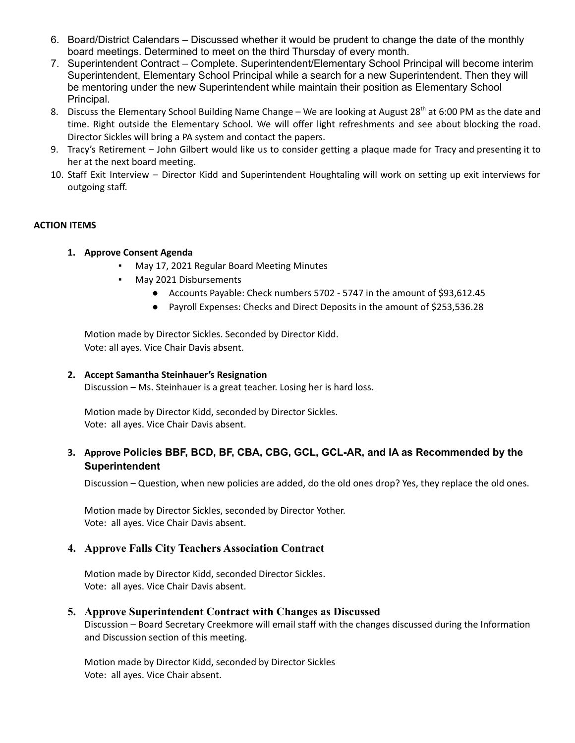- 6. Board/District Calendars Discussed whether it would be prudent to change the date of the monthly board meetings. Determined to meet on the third Thursday of every month.
- 7. Superintendent Contract Complete. Superintendent/Elementary School Principal will become interim Superintendent, Elementary School Principal while a search for a new Superintendent. Then they will be mentoring under the new Superintendent while maintain their position as Elementary School Principal.
- 8. Discuss the Elementary School Building Name Change We are looking at August 28<sup>th</sup> at 6:00 PM as the date and time. Right outside the Elementary School. We will offer light refreshments and see about blocking the road. Director Sickles will bring a PA system and contact the papers.
- 9. Tracy's Retirement John Gilbert would like us to consider getting a plaque made for Tracy and presenting it to her at the next board meeting.
- 10. Staff Exit Interview Director Kidd and Superintendent Houghtaling will work on setting up exit interviews for outgoing staff.

### **ACTION ITEMS**

- **1. Approve Consent Agenda**
	- May 17, 2021 Regular Board Meeting Minutes
	- May 2021 Disbursements
		- Accounts Payable: Check numbers 5702 5747 in the amount of \$93,612.45
		- Payroll Expenses: Checks and Direct Deposits in the amount of \$253,536.28

Motion made by Director Sickles. Seconded by Director Kidd. Vote: all ayes. Vice Chair Davis absent.

### **2. Accept Samantha Steinhauer's Resignation**

Discussion – Ms. Steinhauer is a great teacher. Losing her is hard loss.

Motion made by Director Kidd, seconded by Director Sickles. Vote: all ayes. Vice Chair Davis absent.

# **3. Approve Policies BBF, BCD, BF, CBA, CBG, GCL, GCL-AR, and IA as Recommended by the Superintendent**

Discussion – Question, when new policies are added, do the old ones drop? Yes, they replace the old ones.

Motion made by Director Sickles, seconded by Director Yother. Vote: all ayes. Vice Chair Davis absent.

# **4. Approve Falls City Teachers Association Contract**

Motion made by Director Kidd, seconded Director Sickles. Vote: all ayes. Vice Chair Davis absent.

### **5. Approve Superintendent Contract with Changes as Discussed**

Discussion – Board Secretary Creekmore will email staff with the changes discussed during the Information and Discussion section of this meeting.

Motion made by Director Kidd, seconded by Director Sickles Vote: all ayes. Vice Chair absent.